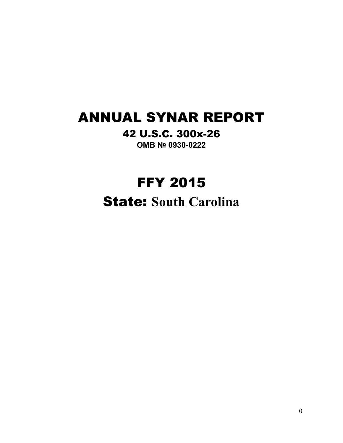# ANNUAL SYNAR REPORT

## 42 U.S.C. 300x-26

**OMB № 0930-0222**

# FFY 2015

State: **South Carolina**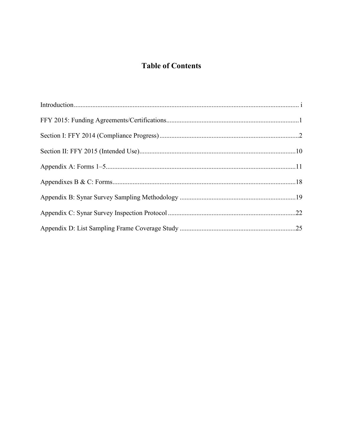### **Table of Contents**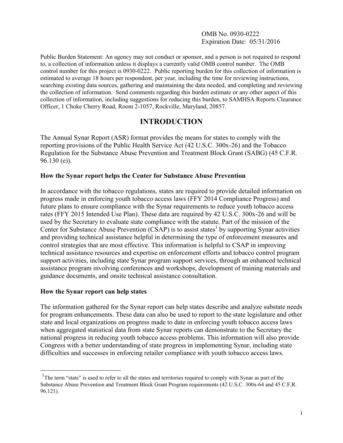#### OMB No. 0930-0222 Expiration Date: 05/31/2016

Public Burden Statement: An agency may not conduct or sponsor, and a person is not required to respond to, a collection of information unless it displays a currently valid OMB control number. The OMB control number for this project is 0930-0222. Public reporting burden for this collection of information is estimated to average 18 hours per respondent, per year, including the time for reviewing instructions, searching existing data sources, gathering and maintaining the data needed, and completing and reviewing the collection of information. Send comments regarding this burden estimate or any other aspect of this collection of information, including suggestions for reducing this burden, to SAMHSA Reports Clearance Officer, 1 Choke Cherry Road, Room 2-1057, Rockville, Maryland, 20857.

### **INTRODUCTION**

The Annual Synar Report (ASR) format provides the means for states to comply with the reporting provisions of the Public Health Service Act (42 U.S.C. 300x-26) and the Tobacco Regulation for the Substance Abuse Prevention and Treatment Block Grant (SABG) (45 C.F.R. 96.130 (e)).

#### **How the Synar report helps the Center for Substance Abuse Prevention**

In accordance with the tobacco regulations, states are required to provide detailed information on progress made in enforcing youth tobacco access laws (FFY 2014 Compliance Progress) and future plans to ensure compliance with the Synar requirements to reduce youth tobacco access rates (FFY 2015 Intended Use Plan). These data are required by 42 U.S.C. 300x-26 and will be used by the Secretary to evaluate state compliance with the statute. Part of the mission of the Center for Substance Abuse Prevention (CSAP) is to assist states<sup>1</sup> by supporting Synar activities and providing technical assistance helpful in determining the type of enforcement measures and control strategies that are most effective. This information is helpful to CSAP in improving technical assistance resources and expertise on enforcement efforts and tobacco control program support activities, including state Synar program support services, through an enhanced technical assistance program involving conferences and workshops, development of training materials and guidance documents, and onsite technical assistance consultation.

#### **How the Synar report can help states**

 $\overline{a}$ 

The information gathered for the Synar report can help states describe and analyze substate needs for program enhancements. These data can also be used to report to the state legislature and other state and local organizations on progress made to date in enforcing youth tobacco access laws when aggregated statistical data from state Synar reports can demonstrate to the Secretary the national progress in reducing youth tobacco access problems. This information will also provide Congress with a better understanding of state progress in implementing Synar, including state difficulties and successes in enforcing retailer compliance with youth tobacco access laws.

<sup>&</sup>lt;sup>1</sup>The term "state" is used to refer to all the states and territories required to comply with Synar as part of the Substance Abuse Prevention and Treatment Block Grant Program requirements (42 U.S.C. 300x-64 and 45 C.F.R. 96.121).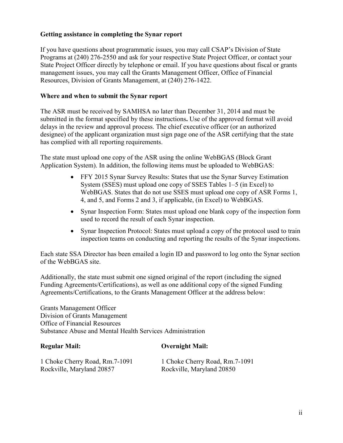#### **Getting assistance in completing the Synar report**

If you have questions about programmatic issues, you may call CSAP's Division of State Programs at (240) 276-2550 and ask for your respective State Project Officer, or contact your State Project Officer directly by telephone or email. If you have questions about fiscal or grants management issues, you may call the Grants Management Officer, Office of Financial Resources, Division of Grants Management, at (240) 276-1422.

#### **Where and when to submit the Synar report**

The ASR must be received by SAMHSA no later than December 31, 2014 and must be submitted in the format specified by these instructions**.** Use of the approved format will avoid delays in the review and approval process. The chief executive officer (or an authorized designee) of the applicant organization must sign page one of the ASR certifying that the state has complied with all reporting requirements.

The state must upload one copy of the ASR using the online WebBGAS (Block Grant Application System). In addition, the following items must be uploaded to WebBGAS:

- FFY 2015 Synar Survey Results: States that use the Synar Survey Estimation System (SSES) must upload one copy of SSES Tables 1–5 (in Excel) to WebBGAS. States that do not use SSES must upload one copy of ASR Forms 1, 4, and 5, and Forms 2 and 3, if applicable, (in Excel) to WebBGAS.
- Synar Inspection Form: States must upload one blank copy of the inspection form used to record the result of each Synar inspection.
- Synar Inspection Protocol: States must upload a copy of the protocol used to train inspection teams on conducting and reporting the results of the Synar inspections.

Each state SSA Director has been emailed a login ID and password to log onto the Synar section of the WebBGAS site.

Additionally, the state must submit one signed original of the report (including the signed Funding Agreements/Certifications), as well as one additional copy of the signed Funding Agreements/Certifications, to the Grants Management Officer at the address below:

Grants Management Officer Division of Grants Management Office of Financial Resources Substance Abuse and Mental Health Services Administration

#### **Regular Mail: Overnight Mail:**

1 Choke Cherry Road, Rm.7-1091 1 Choke Cherry Road, Rm.7-1091 Rockville, Maryland 20857 Rockville, Maryland 20850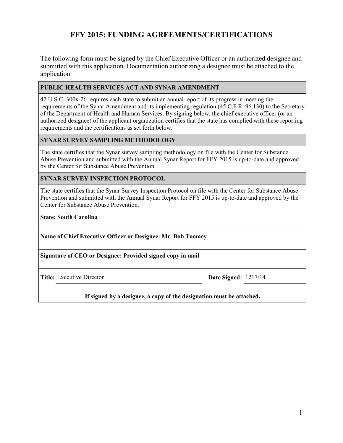### **FFY 2015: FUNDING AGREEMENTS/CERTIFICATIONS**

The following form must be signed by the Chief Executive Officer or an authorized designee and submitted with this application. Documentation authorizing a designee must be attached to the application.

#### **PUBLIC HEALTH SERVICES ACT AND SYNAR AMENDMENT**

42 U.S.C. 300x-26 requires each state to submit an annual report of its progress in meeting the requirements of the Synar Amendment and its implementing regulation (45 C.F.R. 96.130) to the Secretary of the Department of Health and Human Services. By signing below, the chief executive officer (or an authorized designee) of the applicant organization certifies that the state has complied with these reporting requirements and the certifications as set forth below.

#### **SYNAR SURVEY SAMPLING METHODOLOGY**

The state certifies that the Synar survey sampling methodology on file with the Center for Substance Abuse Prevention and submitted with the Annual Synar Report for FFY 2015 is up-to-date and approved by the Center for Substance Abuse Prevention.

#### **SYNAR SURVEY INSPECTION PROTOCOL**

The state certifies that the Synar Survey Inspection Protocol on file with the Center for Substance Abuse Prevention and submitted with the Annual Synar Report for FFY 2015 is up-to-date and approved by the Center for Substance Abuse Prevention.

#### **State: South Carolina**

**Name of Chief Executive Officer or Designee: Mr. Bob Toomey**

**Signature of CEO or Designee: Provided signed copy in mail**

**Title:** Executive Director **Date Signed:** 1217/14

**If signed by a designee, a copy of the designation must be attached.**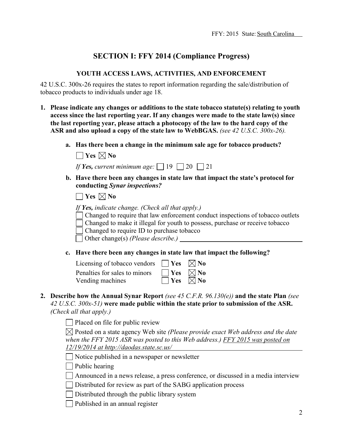### **SECTION I: FFY 2014 (Compliance Progress)**

#### **YOUTH ACCESS LAWS, ACTIVITIES, AND ENFORCEMENT**

42 U.S.C. 300x-26 requires the states to report information regarding the sale/distribution of tobacco products to individuals under age 18.

- **1. Please indicate any changes or additions to the state tobacco statute(s) relating to youth access since the last reporting year. If any changes were made to the state law(s) since the last reporting year, please attach a photocopy of the law to the hard copy of the ASR and also upload a copy of the state law to WebBGAS.** *(see 42 U.S.C. 300x-26).*
	- **a. Has there been a change in the minimum sale age for tobacco products?**

| If Yes, current minimum age: $\Box$ 19 $\Box$ 20 $\Box$ 21 |  |  |  |
|------------------------------------------------------------|--|--|--|
|------------------------------------------------------------|--|--|--|

**b. Have there been any changes in state law that impact the state's protocol for conducting** *Synar inspections?*

 $\Box$  Yes  $\boxtimes$  No

*If Yes, indicate change. (Check all that apply.)*

Changed to require that law enforcement conduct inspections of tobacco outlets Changed to make it illegal for youth to possess, purchase or receive tobacco

Changed to require ID to purchase tobacco

Other change(s) *(Please describe.)*

**c. Have there been any changes in state law that impact the following?**

| Licensing of tobacco vendors $\Box$ Yes $\boxtimes$ No |                           |  |
|--------------------------------------------------------|---------------------------|--|
| Penalties for sales to minors                          | $\Box$ Yes $\boxtimes$ No |  |
| Vending machines                                       | $\Box$ Yes $\Box$ No      |  |

**2. Describe how the Annual Synar Report** *(see 45 C.F.R. 96.130(e))* **and the state Plan** *(see 42 U.S.C. 300x-51)* **were made public within the state prior to submission of the ASR.**  *(Check all that apply.)*

Placed on file for public review

Posted on a state agency Web site *(Please provide exact Web address and the date when the FFY 2015 ASR was posted to this Web address.) FFY 2015 was posted on 12/19/2014 at http://daodas.state.sc.us/*

Notice published in a newspaper or newsletter

 $\Box$  Public hearing

Announced in a news release, a press conference, or discussed in a media interview

Distributed for review as part of the SABG application process

 $\Box$  Distributed through the public library system

 $\Box$  Published in an annual register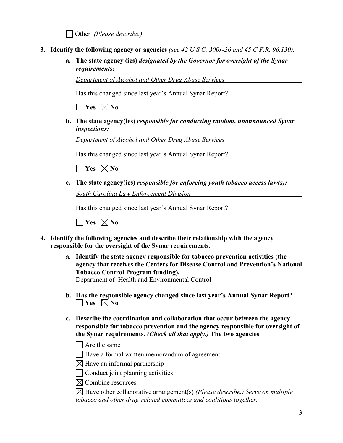Other *(Please describe.)* 

- **3. Identify the following agency or agencies** *(see 42 U.S.C. 300x-26 and 45 C.F.R. 96.130).*
	- **a. The state agency (ies)** *designated by the Governor for oversight of the Synar requirements:*

*Department of Alcohol and Other Drug Abuse Services*

Has this changed since last year's Annual Synar Report?

 $\Box$  Yes  $\boxtimes$  No

**b. The state agency(ies)** *responsible for conducting random, unannounced Synar inspections:*

*Department of Alcohol and Other Drug Abuse Services*

Has this changed since last year's Annual Synar Report?

 $\Box$  Yes  $\boxtimes$  No

**c. The state agency(ies)** *responsible for enforcing youth tobacco access law(s): South Carolina Law Enforcement Division*

Has this changed since last year's Annual Synar Report?

 $\Box$  Yes  $\boxtimes$  No

- **4. Identify the following agencies and describe their relationship with the agency responsible for the oversight of the Synar requirements.**
	- **a. Identify the state agency responsible for tobacco prevention activities (the agency that receives the Centers for Disease Control and Prevention's National Tobacco Control Program funding).** Department of Health and Environmental Control
	- **b. Has the responsible agency changed since last year's Annual Synar Report?**  $\Box$  Yes  $\boxtimes$  No
	- **c. Describe the coordination and collaboration that occur between the agency responsible for tobacco prevention and the agency responsible for oversight of the Synar requirements.** *(Check all that apply.)* **The two agencies**
		- $\Box$  Are the same

Have a formal written memorandum of agreement

 $\boxtimes$  Have an informal partnership

 $\Box$  Conduct joint planning activities

 $\boxtimes$  Combine resources

Have other collaborative arrangement(s) *(Please describe.) Serve on multiple tobacco and other drug-related committees and coalitions together.*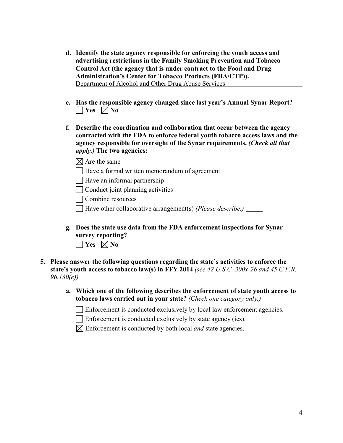- **d. Identify the state agency responsible for enforcing the youth access and advertising restrictions in the Family Smoking Prevention and Tobacco Control Act (the agency that is under contract to the Food and Drug Administration's Center for Tobacco Products (FDA/CTP)).** Department of Alcohol and Other Drug Abuse Services*\_\_\_\_\_\_\_\_\_\_\_\_\_\_\_\_\_\_\_\_\_\_\_*
- **e. Has the responsible agency changed since last year's Annual Synar Report?**  $\Box$  Yes  $\boxtimes$  No
- **f. Describe the coordination and collaboration that occur between the agency contracted with the FDA to enforce federal youth tobacco access laws and the agency responsible for oversight of the Synar requirements.** *(Check all that apply.)* **The two agencies:**
	- $\boxtimes$  Are the same
	- Have a formal written memorandum of agreement
	- $\Box$  Have an informal partnership
	- $\Box$  Conduct joint planning activities

Combine resources

Have other collaborative arrangement(s) *(Please describe.)* 

- **g. Does the state use data from the FDA enforcement inspections for Synar survey reporting?**   $\Box$  Yes  $\boxtimes$  No
- **5. Please answer the following questions regarding the state's activities to enforce the state's youth access to tobacco law(s) in FFY 2014** *(see 42 U.S.C. 300x-26 and 45 C.F.R. 96.130(e)).*
	- **a. Which one of the following describes the enforcement of state youth access to tobacco laws carried out in your state?** *(Check one category only.)*
		- $\Box$  Enforcement is conducted exclusively by local law enforcement agencies.

Enforcement is conducted exclusively by state agency (ies).

 $\boxtimes$  Enforcement is conducted by both local *and* state agencies.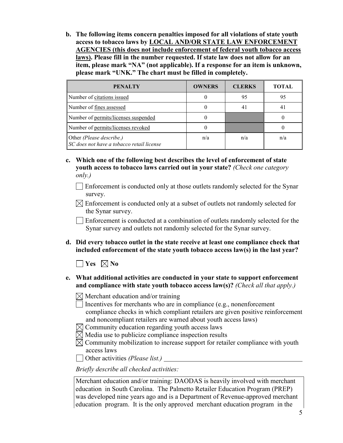**b. The following items concern penalties imposed for all violations of state youth access to tobacco laws by LOCAL AND/OR STATE LAW ENFORCEMENT AGENCIES (this does not include enforcement of federal youth tobacco access laws). Please fill in the number requested. If state law does not allow for an item, please mark "NA" (not applicable). If a response for an item is unknown, please mark "UNK." The chart must be filled in completely.**

| <b>PENALTY</b>                                                        | <b>OWNERS</b> | <b>CLERKS</b> | <b>TOTAL</b>   |
|-----------------------------------------------------------------------|---------------|---------------|----------------|
| Number of citations issued                                            |               | 95            | 95             |
| Number of fines assessed                                              |               | 41            | 4 <sub>1</sub> |
| Number of permits/licenses suspended                                  |               |               |                |
| Number of permits/licenses revoked                                    |               |               |                |
| Other (Please describe.)<br>SC does not have a tobacco retail license | n/a           | n/a           | n/a            |

- **c. Which one of the following best describes the level of enforcement of state youth access to tobacco laws carried out in your state?** *(Check one category only.)*
	- Enforcement is conducted only at those outlets randomly selected for the Synar survey.
	- $\boxtimes$  Enforcement is conducted only at a subset of outlets not randomly selected for the Synar survey.

Enforcement is conducted at a combination of outlets randomly selected for the Synar survey and outlets not randomly selected for the Synar survey.

**d. Did every tobacco outlet in the state receive at least one compliance check that included enforcement of the state youth tobacco access law(s) in the last year?**

 $\Box$  Yes  $\boxtimes$  No

- **e. What additional activities are conducted in your state to support enforcement and compliance with state youth tobacco access law(s)?** *(Check all that apply.)* 
	-
	- $\boxtimes$  Merchant education and/or training
	- $\Box$  Incentives for merchants who are in compliance (e.g., nonenforcement compliance checks in which compliant retailers are given positive reinforcement and noncompliant retailers are warned about youth access laws)
	- $\boxtimes$  Community education regarding youth access laws
	- $\boxtimes$  Media use to publicize compliance inspection results
	- $\boxtimes$  Community mobilization to increase support for retailer compliance with youth access laws
	- Other activities *(Please list.)*

*Briefly describe all checked activities:*

Merchant education and/or training: DAODAS is heavily involved with merchant education in South Carolina. The Palmetto Retailer Education Program (PREP) was developed nine years ago and is a Department of Revenue-approved merchant education program. It is the only approved merchant education program in the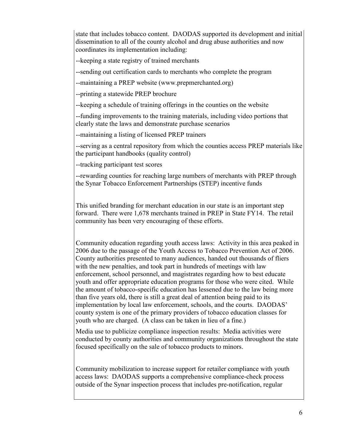state that includes tobacco content. DAODAS supported its development and initial dissemination to all of the county alcohol and drug abuse authorities and now coordinates its implementation including:

--keeping a state registry of trained merchants

--sending out certification cards to merchants who complete the program

--maintaining a PREP website (www.prepmerchanted.org)

--printing a statewide PREP brochure

--keeping a schedule of training offerings in the counties on the website

--funding improvements to the training materials, including video portions that clearly state the laws and demonstrate purchase scenarios

--maintaining a listing of licensed PREP trainers

--serving as a central repository from which the counties access PREP materials like the participant handbooks (quality control)

--tracking participant test scores

--rewarding counties for reaching large numbers of merchants with PREP through the Synar Tobacco Enforcement Partnerships (STEP) incentive funds

This unified branding for merchant education in our state is an important step forward. There were 1,678 merchants trained in PREP in State FY14. The retail community has been very encouraging of these efforts.

Community education regarding youth access laws: Activity in this area peaked in 2006 due to the passage of the Youth Access to Tobacco Prevention Act of 2006. County authorities presented to many audiences, handed out thousands of fliers with the new penalties, and took part in hundreds of meetings with law enforcement, school personnel, and magistrates regarding how to best educate youth and offer appropriate education programs for those who were cited. While the amount of tobacco-specific education has lessened due to the law being more than five years old, there is still a great deal of attention being paid to its implementation by local law enforcement, schools, and the courts. DAODAS' county system is one of the primary providers of tobacco education classes for youth who are charged. (A class can be taken in lieu of a fine.)

Media use to publicize compliance inspection results: Media activities were conducted by county authorities and community organizations throughout the state focused specifically on the sale of tobacco products to minors.

Community mobilization to increase support for retailer compliance with youth access laws: DAODAS supports a comprehensive compliance-check process outside of the Synar inspection process that includes pre-notification, regular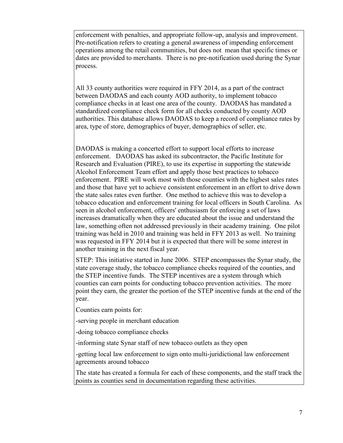enforcement with penalties, and appropriate follow-up, analysis and improvement. Pre-notification refers to creating a general awareness of impending enforcement operations among the retail communities, but does not mean that specific times or dates are provided to merchants. There is no pre-notification used during the Synar process.

All 33 county authorities were required in FFY 2014, as a part of the contract between DAODAS and each county AOD authority, to implement tobacco compliance checks in at least one area of the county. DAODAS has mandated a standardized compliance check form for all checks conducted by county AOD authorities. This database allows DAODAS to keep a record of compliance rates by area, type of store, demographics of buyer, demographics of seller, etc.

DAODAS is making a concerted effort to support local efforts to increase enforcement. DAODAS has asked its subcontractor, the Pacific Institute for Research and Evaluation (PIRE), to use its expertise in supporting the statewide Alcohol Enforcement Team effort and apply those best practices to tobacco enforcement. PIRE will work most with those counties with the highest sales rates and those that have yet to achieve consistent enforcement in an effort to drive down the state sales rates even further. One method to achieve this was to develop a tobacco education and enforcement training for local officers in South Carolina. As seen in alcohol enforcement, officers' enthusiasm for enforcing a set of laws increases dramatically when they are educated about the issue and understand the law, something often not addressed previously in their academy training. One pilot training was held in 2010 and training was held in FFY 2013 as well. No training was requested in FFY 2014 but it is expected that there will be some interest in another training in the next fiscal year.

STEP: This initiative started in June 2006. STEP encompasses the Synar study, the state coverage study, the tobacco compliance checks required of the counties, and the STEP incentive funds. The STEP incentives are a system through which counties can earn points for conducting tobacco prevention activities. The more point they earn, the greater the portion of the STEP incentive funds at the end of the year.

Counties earn points for:

-serving people in merchant education

-doing tobacco compliance checks

-informing state Synar staff of new tobacco outlets as they open

-getting local law enforcement to sign onto multi-juridictional law enforcement agreements around tobacco

The state has created a formula for each of these components, and the staff track the points as counties send in documentation regarding these activities.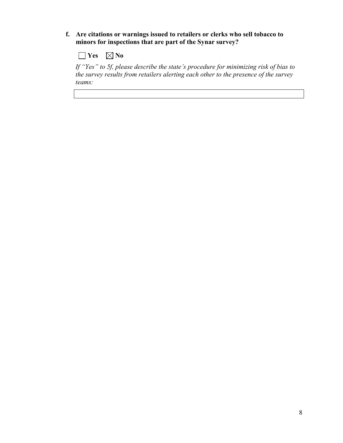**f. Are citations or warnings issued to retailers or clerks who sell tobacco to minors for inspections that are part of the Synar survey?**

 $\Box$  Yes  $\Box$  No

*If "Yes" to 5f, please describe the state's procedure for minimizing risk of bias to the survey results from retailers alerting each other to the presence of the survey teams:*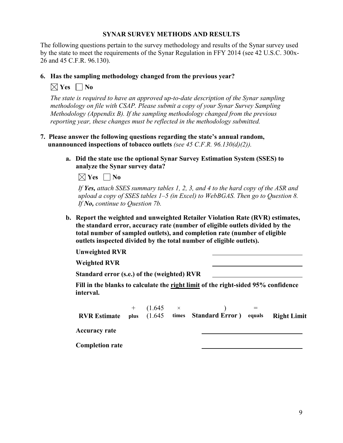#### **SYNAR SURVEY METHODS AND RESULTS**

The following questions pertain to the survey methodology and results of the Synar survey used by the state to meet the requirements of the Synar Regulation in FFY 2014 (see 42 U.S.C. 300x-26 and 45 C.F.R. 96.130).

#### **6. Has the sampling methodology changed from the previous year?**

 $\boxtimes$  **Yes**  $\Box$  **No** 

*The state is required to have an approved up-to-date description of the Synar sampling methodology on file with CSAP. Please submit a copy of your Synar Survey Sampling Methodology (Appendix B). If the sampling methodology changed from the previous reporting year, these changes must be reflected in the methodology submitted.*

- **7. Please answer the following questions regarding the state's annual random, unannounced inspections of tobacco outlets** *(see 45 C.F.R. 96.130(d)(2)).*
	- **a. Did the state use the optional Synar Survey Estimation System (SSES) to analyze the Synar survey data?**

 $\boxtimes$  Yes  $\Box$  No

*If Yes, attach SSES summary tables 1, 2, 3, and 4 to the hard copy of the ASR and upload a copy of SSES tables 1–5 (in Excel) to WebBGAS. Then go to Question 8. If No, continue to Question 7b.*

**b. Report the weighted and unweighted Retailer Violation Rate (RVR) estimates, the standard error, accuracy rate (number of eligible outlets divided by the total number of sampled outlets), and completion rate (number of eligible outlets inspected divided by the total number of eligible outlets).**

**Unweighted RVR**

**Weighted RVR**

**Standard error (s.e.) of the (weighted) RVR**

**Fill in the blanks to calculate the right limit of the right-sided 95% confidence interval.**

|                        | $+$ (1.645 $\times$ | <b>RVR Estimate</b> plus (1.645 times Standard Error) equals Right Limit |  |
|------------------------|---------------------|--------------------------------------------------------------------------|--|
| Accuracy rate          |                     |                                                                          |  |
| <b>Completion rate</b> |                     |                                                                          |  |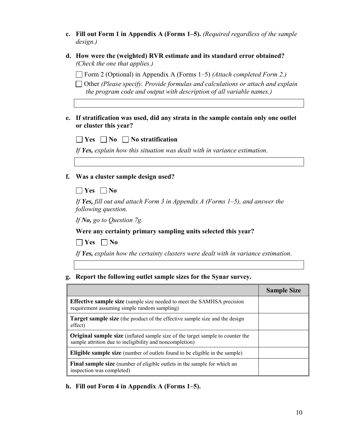| c. Fill out Form 1 in Appendix A (Forms 1–5). (Required regardless of the sample |
|----------------------------------------------------------------------------------|
| design.)                                                                         |

| d. How were the (weighted) RVR estimate and its standard error obtained? |
|--------------------------------------------------------------------------|
| (Check the one that applies.)                                            |

Form 2 (Optional) in Appendix A (Forms 1–5) *(Attach completed Form 2.)*

Other *(Please specify. Provide formulas and calculations or attach and explain the program code and output with description of all variable names.)*

#### **e. If stratification was used, did any strata in the sample contain only one outlet or cluster this year?**

| $\Box$ Yes $\Box$ No $\Box$ No stratification                             |  |
|---------------------------------------------------------------------------|--|
| If Yes, explain how this situation was dealt with in variance estimation. |  |

### **f. Was a cluster sample design used?**

### **Yes No**

*If Yes, fill out and attach Form 3 in Appendix A (Forms 1–5), and answer the following question.*

*If No, go to Question 7g.*

**Were any certainty primary sampling units selected this year?** 

 $\Box$  Yes  $\Box$  No

*If Yes, explain how the certainty clusters were dealt with in variance estimation*.

#### **g. Report the following outlet sample sizes for the Synar survey.**

|                                                                                                                                                   | <b>Sample Size</b> |
|---------------------------------------------------------------------------------------------------------------------------------------------------|--------------------|
| <b>Effective sample size</b> (sample size needed to meet the SAMHSA precision<br>requirement assuming simple random sampling)                     |                    |
| <b>Target sample size</b> (the product of the effective sample size and the design<br>effect)                                                     |                    |
| <b>Original sample size</b> (inflated sample size of the target sample to counter the<br>sample attrition due to ineligibility and noncompletion) |                    |
| <b>Eligible sample size</b> (number of outlets found to be eligible in the sample)                                                                |                    |
| <b>Final sample size</b> (number of eligible outlets in the sample for which an<br>inspection was completed)                                      |                    |

**h. Fill out Form 4 in Appendix A (Forms 1–5).**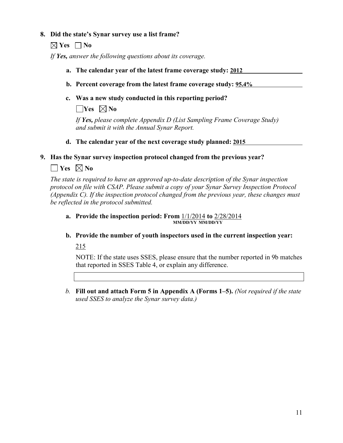#### **8. Did the state's Synar survey use a list frame?**

 $\boxtimes$  Yes  $\Box$  No

*If Yes, answer the following questions about its coverage.*

- **a. The calendar year of the latest frame coverage study: 2012**
- **b. Percent coverage from the latest frame coverage study: 95.4%**
- **c. Was a new study conducted in this reporting period?**

 $\Box$ **Yes**  $\boxtimes$  No

*If Yes, please complete Appendix D (List Sampling Frame Coverage Study) and submit it with the Annual Synar Report.*

**d. The calendar year of the next coverage study planned: 2015**

**9. Has the Synar survey inspection protocol changed from the previous year?**

### $\Box$  Yes  $\boxtimes$  No

*The state is required to have an approved up-to-date description of the Synar inspection protocol on file with CSAP. Please submit a copy of your Synar Survey Inspection Protocol (Appendix C). If the inspection protocol changed from the previous year, these changes must be reflected in the protocol submitted.*

**a. Provide the inspection period: From** 1/1/2014 **to** 2/28/2014 **MM/DD/YY MM/DD/YY**

**b. Provide the number of youth inspectors used in the current inspection year:**

215

NOTE: If the state uses SSES, please ensure that the number reported in 9b matches that reported in SSES Table 4, or explain any difference.

*b.* **Fill out and attach Form 5 in Appendix A (Forms 1–5).** *(Not required if the state used SSES to analyze the Synar survey data.)*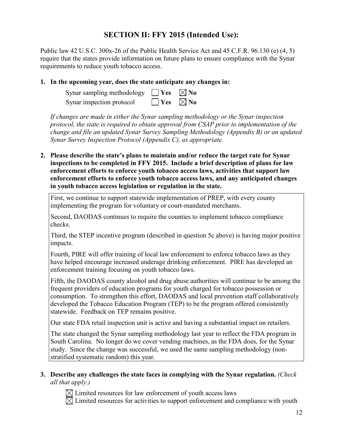### **SECTION II: FFY 2015 (Intended Use):**

Public law 42 U.S.C. 300x-26 of the Public Health Service Act and 45 C.F.R. 96.130 (e) (4, 5) require that the states provide information on future plans to ensure compliance with the Synar requirements to reduce youth tobacco access.

#### **1. In the upcoming year, does the state anticipate any changes in:**

| Synar sampling methodology $\Box$ Yes $\boxtimes$ No |                      |  |
|------------------------------------------------------|----------------------|--|
| Synar inspection protocol                            | $\Box$ Yes $\Box$ No |  |

*If changes are made in either the Synar sampling methodology or the Synar inspection protocol, the state is required to obtain approval from CSAP prior to implementation of the change and file an updated Synar Survey Sampling Methodology (Appendix B) or an updated Synar Survey Inspection Protocol (Appendix C), as appropriate.*

**2. Please describe the state's plans to maintain and/or reduce the target rate for Synar inspections to be completed in FFY 2015. Include a brief description of plans for law enforcement efforts to enforce youth tobacco access laws, activities that support law enforcement efforts to enforce youth tobacco access laws, and any anticipated changes in youth tobacco access legislation or regulation in the state.**

First, we continue to support statewide implementation of PREP, with every county implementing the program for voluntary or court-mandated merchants.

Second, DAODAS continues to require the counties to implement tobacco compliance checks.

Third, the STEP incentive program (described in question 5c above) is having major positive impacts.

Fourth, PIRE will offer training of local law enforcement to enforce tobacco laws as they have helped encourage increased underage drinking enforcement. PIRE has developed an enforcement training focusing on youth tobacco laws.

Fifth, the DAODAS county alcohol and drug abuse authorities will continue to be among the frequent providers of education programs for youth charged for tobacco possession or consumption. To strengthen this effort, DAODAS and local prevention staff collaboratively developed the Tobacco Education Program (TEP) to be the program offered consistently statewide. Feedback on TEP remains positive.

Our state FDA retail inspection unit is active and having a substantial impact on retailers.

The state changed the Synar sampling methodology last year to reflect the FDA program in South Carolina. No longer do we cover vending machines, as the FDA does, for the Synar study. Since the change was successful, we used the same sampling methodology (nonstratified systematic random) this year.

#### **3. Describe any challenges the state faces in complying with the Synar regulation.** *(Check all that apply.)*

 $\boxtimes$  Limited resources for law enforcement of youth access laws

 $\boxtimes$  Limited resources for activities to support enforcement and compliance with youth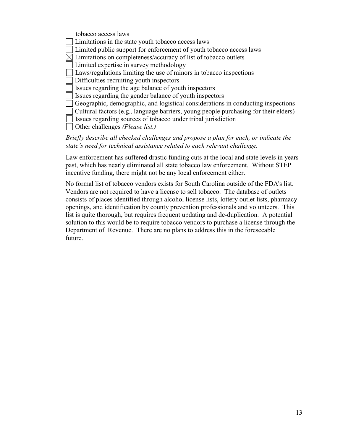tobacco access laws Limitations in the state youth tobacco access laws Limited public support for enforcement of youth tobacco access laws  $\boxtimes$  Limitations on completeness/accuracy of list of tobacco outlets Limited expertise in survey methodology Laws/regulations limiting the use of minors in tobacco inspections Difficulties recruiting youth inspectors Issues regarding the age balance of youth inspectors Issues regarding the gender balance of youth inspectors Geographic, demographic, and logistical considerations in conducting inspections Cultural factors (e.g., language barriers, young people purchasing for their elders) Issues regarding sources of tobacco under tribal jurisdiction Other challenges *(Please list.)*

*Briefly describe all checked challenges and propose a plan for each, or indicate the state's need for technical assistance related to each relevant challenge.*

Law enforcement has suffered drastic funding cuts at the local and state levels in years past, which has nearly eliminated all state tobacco law enforcement. Without STEP incentive funding, there might not be any local enforcement either.

No formal list of tobacco vendors exists for South Carolina outside of the FDA's list. Vendors are not required to have a license to sell tobacco. The database of outlets consists of places identified through alcohol license lists, lottery outlet lists, pharmacy openings, and identification by county prevention professionals and volunteers. This list is quite thorough, but requires frequent updating and de-duplication. A potential solution to this would be to require tobacco vendors to purchase a license through the Department of Revenue. There are no plans to address this in the foreseeable future.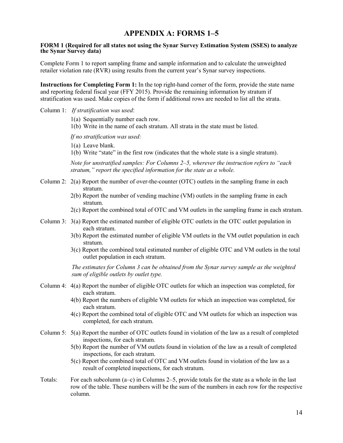### **APPENDIX A: FORMS 1–5**

#### **FORM 1 (Required for all states not using the Synar Survey Estimation System (SSES) to analyze the Synar Survey data)**

Complete Form 1 to report sampling frame and sample information and to calculate the unweighted retailer violation rate (RVR) using results from the current year's Synar survey inspections.

**Instructions for Completing Form 1:** In the top right-hand corner of the form, provide the state name and reporting federal fiscal year (FFY 2015). Provide the remaining information by stratum if stratification was used. Make copies of the form if additional rows are needed to list all the strata.

#### Column 1: *If stratification was used*:

- 1(a) Sequentially number each row.
- 1(b) Write in the name of each stratum. All strata in the state must be listed.

*If no stratification was used:*

- 1(a) Leave blank.
- 1(b) Write "state" in the first row (indicates that the whole state is a single stratum).

*Note for unstratified samples: For Columns 2–5, wherever the instruction refers to "each stratum," report the specified information for the state as a whole.*

- Column 2: 2(a) Report the number of over-the-counter (OTC) outlets in the sampling frame in each stratum.
	- 2(b) Report the number of vending machine (VM) outlets in the sampling frame in each stratum.
	- 2(c) Report the combined total of OTC and VM outlets in the sampling frame in each stratum.
- Column 3: 3(a) Report the estimated number of eligible OTC outlets in the OTC outlet population in each stratum.
	- 3(b) Report the estimated number of eligible VM outlets in the VM outlet population in each stratum.
	- 3(c) Report the combined total estimated number of eligible OTC and VM outlets in the total outlet population in each stratum.

*The estimates for Column 3 can be obtained from the Synar survey sample as the weighted sum of eligible outlets by outlet type.*

- Column 4: 4(a) Report the number of eligible OTC outlets for which an inspection was completed, for each stratum.
	- 4(b) Report the numbers of eligible VM outlets for which an inspection was completed, for each stratum.
	- 4(c) Report the combined total of eligible OTC and VM outlets for which an inspection was completed, for each stratum.
- Column 5: 5(a) Report the number of OTC outlets found in violation of the law as a result of completed inspections, for each stratum.
	- 5(b) Report the number of VM outlets found in violation of the law as a result of completed inspections, for each stratum.
	- 5(c) Report the combined total of OTC and VM outlets found in violation of the law as a result of completed inspections, for each stratum.
- Totals: For each subcolumn (a–c) in Columns 2–5, provide totals for the state as a whole in the last row of the table. These numbers will be the sum of the numbers in each row for the respective column.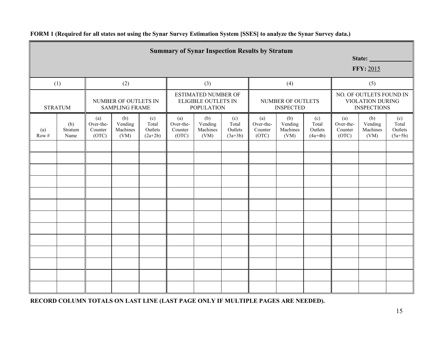|                  | <b>Summary of Synar Inspection Results by Stratum</b><br>State:<br><b>FFY: 2015</b> |                                      |                                               |                                      |                                      |                                    |                                                                                                   |                                      |                                                                          |                                      |                                                                                   |  |                               |
|------------------|-------------------------------------------------------------------------------------|--------------------------------------|-----------------------------------------------|--------------------------------------|--------------------------------------|------------------------------------|---------------------------------------------------------------------------------------------------|--------------------------------------|--------------------------------------------------------------------------|--------------------------------------|-----------------------------------------------------------------------------------|--|-------------------------------|
|                  | (1)                                                                                 |                                      | (2)                                           |                                      |                                      | (3)                                |                                                                                                   |                                      | (4)                                                                      |                                      | (5)                                                                               |  |                               |
|                  | <b>STRATUM</b>                                                                      |                                      | NUMBER OF OUTLETS IN<br><b>SAMPLING FRAME</b> |                                      |                                      | <b>POPULATION</b>                  | <b>ESTIMATED NUMBER OF</b><br><b>ELIGIBLE OUTLETS IN</b><br>NUMBER OF OUTLETS<br><b>INSPECTED</b> |                                      | NO. OF OUTLETS FOUND IN<br><b>VIOLATION DURING</b><br><b>INSPECTIONS</b> |                                      |                                                                                   |  |                               |
| (a)<br>$Row\,\#$ | (b)<br>Stratum<br>Name                                                              | (a)<br>Over-the-<br>Counter<br>(OTC) | (b)<br>Vending<br>Machines<br>(VM)            | (c)<br>Total<br>Outlets<br>$(2a+2b)$ | (a)<br>Over-the-<br>Counter<br>(OTC) | (b)<br>Vending<br>Machines<br>(VM) | (c)<br>Total<br>Outlets<br>$(3a+3b)$                                                              | (a)<br>Over-the-<br>Counter<br>(OTC) | (b)<br>Vending<br>Machines<br>(VM)                                       | (c)<br>Total<br>Outlets<br>$(4a+4b)$ | (c)<br>(a)<br>(b)<br>Over-the-<br>Vending<br>Machines<br>Counter<br>(OTC)<br>(VM) |  | Total<br>Outlets<br>$(5a+5b)$ |
|                  |                                                                                     |                                      |                                               |                                      |                                      |                                    |                                                                                                   |                                      |                                                                          |                                      |                                                                                   |  |                               |
|                  |                                                                                     |                                      |                                               |                                      |                                      |                                    |                                                                                                   |                                      |                                                                          |                                      |                                                                                   |  |                               |
|                  |                                                                                     |                                      |                                               |                                      |                                      |                                    |                                                                                                   |                                      |                                                                          |                                      |                                                                                   |  |                               |
|                  |                                                                                     |                                      |                                               |                                      |                                      |                                    |                                                                                                   |                                      |                                                                          |                                      |                                                                                   |  |                               |
|                  |                                                                                     |                                      |                                               |                                      |                                      |                                    |                                                                                                   |                                      |                                                                          |                                      |                                                                                   |  |                               |
|                  |                                                                                     |                                      |                                               |                                      |                                      |                                    |                                                                                                   |                                      |                                                                          |                                      |                                                                                   |  |                               |
|                  |                                                                                     |                                      |                                               |                                      |                                      |                                    |                                                                                                   |                                      |                                                                          |                                      |                                                                                   |  |                               |
|                  |                                                                                     |                                      |                                               |                                      |                                      |                                    |                                                                                                   |                                      |                                                                          |                                      |                                                                                   |  |                               |
|                  |                                                                                     |                                      |                                               |                                      |                                      |                                    |                                                                                                   |                                      |                                                                          |                                      |                                                                                   |  |                               |
|                  |                                                                                     |                                      |                                               |                                      |                                      |                                    |                                                                                                   |                                      |                                                                          |                                      |                                                                                   |  |                               |
|                  |                                                                                     |                                      |                                               |                                      |                                      |                                    |                                                                                                   |                                      |                                                                          |                                      |                                                                                   |  |                               |

### **FORM 1 (Required for all states not using the Synar Survey Estimation System [SSES] to analyze the Synar Survey data.)**

**RECORD COLUMN TOTALS ON LAST LINE (LAST PAGE ONLY IF MULTIPLE PAGES ARE NEEDED).**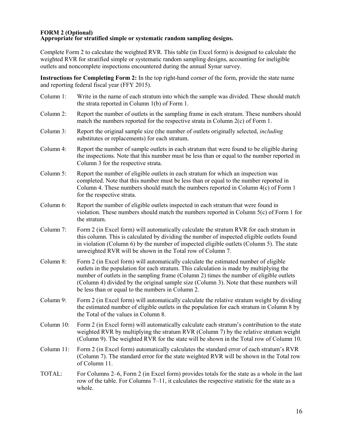#### **FORM 2 (Optional) Appropriate for stratified simple or systematic random sampling designs.**

Complete Form 2 to calculate the weighted RVR. This table (in Excel form) is designed to calculate the weighted RVR for stratified simple or systematic random sampling designs, accounting for ineligible outlets and noncomplete inspections encountered during the annual Synar survey.

**Instructions for Completing Form 2:** In the top right-hand corner of the form, provide the state name and reporting federal fiscal year (FFY 2015).

Column 1: Write in the name of each stratum into which the sample was divided. These should match the strata reported in Column 1(b) of Form 1. Column 2: Report the number of outlets in the sampling frame in each stratum. These numbers should match the numbers reported for the respective strata in Column 2(c) of Form 1. Column 3: Report the original sample size (the number of outlets originally selected, *including* substitutes or replacements) for each stratum. Column 4: Report the number of sample outlets in each stratum that were found to be eligible during the inspections. Note that this number must be less than or equal to the number reported in Column 3 for the respective strata. Column 5: Report the number of eligible outlets in each stratum for which an inspection was completed. Note that this number must be less than or equal to the number reported in Column 4. These numbers should match the numbers reported in Column 4(c) of Form 1 for the respective strata. Column 6: Report the number of eligible outlets inspected in each stratum that were found in violation. These numbers should match the numbers reported in Column 5(c) of Form 1 for the stratum. Column 7: Form 2 (in Excel form) will automatically calculate the stratum RVR for each stratum in this column. This is calculated by dividing the number of inspected eligible outlets found in violation (Column 6) by the number of inspected eligible outlets (Column 5). The state unweighted RVR will be shown in the Total row of Column 7. Column 8: Form 2 (in Excel form) will automatically calculate the estimated number of eligible outlets in the population for each stratum. This calculation is made by multiplying the number of outlets in the sampling frame (Column 2) times the number of eligible outlets (Column 4) divided by the original sample size (Column 3). Note that these numbers will be less than or equal to the numbers in Column 2. Column 9: Form 2 (in Excel form) will automatically calculate the relative stratum weight by dividing the estimated number of eligible outlets in the population for each stratum in Column 8 by the Total of the values in Column 8. Column 10: Form 2 (in Excel form) will automatically calculate each stratum's contribution to the state weighted RVR by multiplying the stratum RVR (Column 7) by the relative stratum weight (Column 9). The weighted RVR for the state will be shown in the Total row of Column 10. Column 11: Form 2 (in Excel form) automatically calculates the standard error of each stratum's RVR (Column 7). The standard error for the state weighted RVR will be shown in the Total row of Column 11. TOTAL: For Columns 2–6, Form 2 (in Excel form) provides totals for the state as a whole in the last row of the table. For Columns 7–11, it calculates the respective statistic for the state as a whole.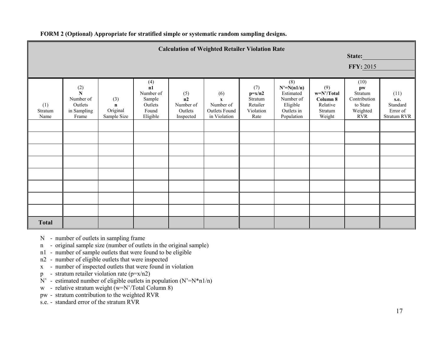| <b>Calculation of Weighted Retailer Violation Rate</b> |                                                                 |                                               |                                                                  |                                                |                                                                   |                                                             |                                                                                       |                                                                  |                                                                             |                                                            |
|--------------------------------------------------------|-----------------------------------------------------------------|-----------------------------------------------|------------------------------------------------------------------|------------------------------------------------|-------------------------------------------------------------------|-------------------------------------------------------------|---------------------------------------------------------------------------------------|------------------------------------------------------------------|-----------------------------------------------------------------------------|------------------------------------------------------------|
|                                                        | State:                                                          |                                               |                                                                  |                                                |                                                                   |                                                             |                                                                                       |                                                                  |                                                                             |                                                            |
|                                                        |                                                                 |                                               |                                                                  |                                                |                                                                   |                                                             |                                                                                       |                                                                  | <b>FFY: 2015</b>                                                            |                                                            |
|                                                        |                                                                 |                                               |                                                                  |                                                |                                                                   |                                                             |                                                                                       |                                                                  |                                                                             |                                                            |
| (1)<br>Stratum<br>Name                                 | $\frac{(2)}{N}$<br>Number of<br>Outlets<br>in Sampling<br>Frame | (3)<br>$\mathbf n$<br>Original<br>Sample Size | (4)<br>n1<br>Number of<br>Sample<br>Outlets<br>Found<br>Eligible | (5)<br>n2<br>Number of<br>Outlets<br>Inspected | (6)<br>$\mathbf{x}$<br>Number of<br>Outlets Found<br>in Violation | (7)<br>$p=x/n2$<br>Stratum<br>Retailer<br>Violation<br>Rate | (8)<br>$N'=N(n1/n)$<br>Estimated<br>Number of<br>Eligible<br>Outlets in<br>Population | (9)<br>$w=N'/Total$<br>Column 8<br>Relative<br>Stratum<br>Weight | (10)<br>pw<br>Stratum<br>Contribution<br>to State<br>Weighted<br><b>RVR</b> | (11)<br>s.e.<br>Standard<br>Error of<br><b>Stratum RVR</b> |
|                                                        |                                                                 |                                               |                                                                  |                                                |                                                                   |                                                             |                                                                                       |                                                                  |                                                                             |                                                            |
|                                                        |                                                                 |                                               |                                                                  |                                                |                                                                   |                                                             |                                                                                       |                                                                  |                                                                             |                                                            |
|                                                        |                                                                 |                                               |                                                                  |                                                |                                                                   |                                                             |                                                                                       |                                                                  |                                                                             |                                                            |
|                                                        |                                                                 |                                               |                                                                  |                                                |                                                                   |                                                             |                                                                                       |                                                                  |                                                                             |                                                            |
|                                                        |                                                                 |                                               |                                                                  |                                                |                                                                   |                                                             |                                                                                       |                                                                  |                                                                             |                                                            |
|                                                        |                                                                 |                                               |                                                                  |                                                |                                                                   |                                                             |                                                                                       |                                                                  |                                                                             |                                                            |
|                                                        |                                                                 |                                               |                                                                  |                                                |                                                                   |                                                             |                                                                                       |                                                                  |                                                                             |                                                            |
|                                                        |                                                                 |                                               |                                                                  |                                                |                                                                   |                                                             |                                                                                       |                                                                  |                                                                             |                                                            |
| <b>Total</b>                                           |                                                                 |                                               |                                                                  |                                                |                                                                   |                                                             |                                                                                       |                                                                  |                                                                             |                                                            |

- N number of outlets in sampling frame
- n original sample size (number of outlets in the original sample)
- n1 number of sample outlets that were found to be eligible
- n2 number of eligible outlets that were inspected
- x number of inspected outlets that were found in violation
- p stratum retailer violation rate  $(p=x/n2)$
- $N'$  estimated number of eligible outlets in population  $(N' = N^*n1/n)$
- w relative stratum weight  $(w=N')\text{Total Column } 8$ )
- pw stratum contribution to the weighted RVR
- s.e. standard error of the stratum RVR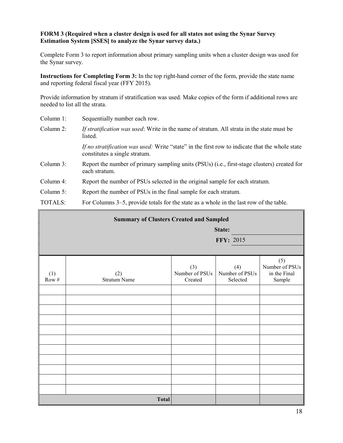#### **FORM 3 (Required when a cluster design is used for all states not using the Synar Survey Estimation System [SSES] to analyze the Synar survey data.)**

Complete Form 3 to report information about primary sampling units when a cluster design was used for the Synar survey.

**Instructions for Completing Form 3:** In the top right-hand corner of the form, provide the state name and reporting federal fiscal year (FFY 2015).

Provide information by stratum if stratification was used. Make copies of the form if additional rows are needed to list all the strata.

- Column 1: Sequentially number each row.
- Column 2: *If stratification was used*: Write in the name of stratum. All strata in the state must be listed.

*If no stratification was used:* Write "state" in the first row to indicate that the whole state constitutes a single stratum.

- Column 3: Report the number of primary sampling units (PSUs) (i.e., first-stage clusters) created for each stratum.
- Column 4: Report the number of PSUs selected in the original sample for each stratum.
- Column 5: Report the number of PSUs in the final sample for each stratum.

TOTALS: For Columns 3–5, provide totals for the state as a whole in the last row of the table.

| <b>Summary of Clusters Created and Sampled</b> |                            |                                  |                                   |                                                 |  |
|------------------------------------------------|----------------------------|----------------------------------|-----------------------------------|-------------------------------------------------|--|
|                                                |                            |                                  | State:                            |                                                 |  |
|                                                |                            |                                  | FFY: 2015                         |                                                 |  |
|                                                |                            |                                  |                                   |                                                 |  |
| (1)<br>Row $\#$                                | (2)<br><b>Stratum Name</b> | (3)<br>Number of PSUs<br>Created | (4)<br>Number of PSUs<br>Selected | (5)<br>Number of PSUs<br>in the Final<br>Sample |  |
|                                                |                            |                                  |                                   |                                                 |  |
|                                                |                            |                                  |                                   |                                                 |  |
|                                                |                            |                                  |                                   |                                                 |  |
|                                                |                            |                                  |                                   |                                                 |  |
|                                                |                            |                                  |                                   |                                                 |  |
|                                                |                            |                                  |                                   |                                                 |  |
|                                                |                            |                                  |                                   |                                                 |  |
|                                                |                            |                                  |                                   |                                                 |  |
|                                                |                            |                                  |                                   |                                                 |  |
|                                                |                            |                                  |                                   |                                                 |  |
| <b>Total</b>                                   |                            |                                  |                                   |                                                 |  |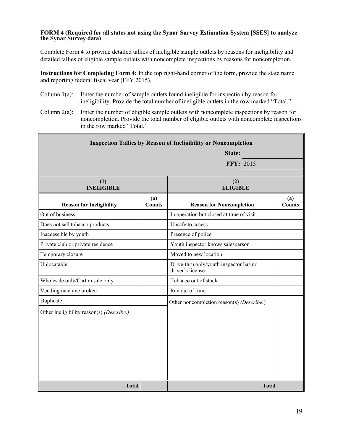#### **FORM 4 (Required for all states not using the Synar Survey Estimation System [SSES] to analyze the Synar Survey data)**

Complete Form 4 to provide detailed tallies of ineligible sample outlets by reasons for ineligibility and detailed tallies of eligible sample outlets with noncomplete inspections by reasons for noncompletion.

**Instructions for Completing Form 4:** In the top right-hand corner of the form, provide the state name and reporting federal fiscal year (FFY 2015).

- Column 1(a): Enter the number of sample outlets found ineligible for inspection by reason for ineligibility. Provide the total number of ineligible outlets in the row marked "Total."
- Column 2(a): Enter the number of eligible sample outlets with noncomplete inspections by reason for noncompletion. Provide the total number of eligible outlets with noncomplete inspections in the row marked "Total."

| <b>Inspection Tallies by Reason of Ineligibility or Noncompletion</b> |                      |                                                            |                      |  |  |
|-----------------------------------------------------------------------|----------------------|------------------------------------------------------------|----------------------|--|--|
| State:                                                                |                      |                                                            |                      |  |  |
|                                                                       | <b>FFY: 2015</b>     |                                                            |                      |  |  |
| (1)<br><b>INELIGIBLE</b>                                              |                      | (2)<br><b>ELIGIBLE</b>                                     |                      |  |  |
| <b>Reason for Ineligibility</b>                                       | (a)<br><b>Counts</b> | <b>Reason for Noncompletion</b>                            | (a)<br><b>Counts</b> |  |  |
| Out of business                                                       |                      | In operation but closed at time of visit                   |                      |  |  |
| Does not sell tobacco products                                        |                      | Unsafe to access                                           |                      |  |  |
| Inaccessible by youth                                                 |                      | Presence of police                                         |                      |  |  |
| Private club or private residence                                     |                      | Youth inspector knows salesperson                          |                      |  |  |
| Temporary closure                                                     |                      | Moved to new location                                      |                      |  |  |
| Unlocatable                                                           |                      | Drive-thru only/youth inspector has no<br>driver's license |                      |  |  |
| Wholesale only/Carton sale only                                       |                      | Tobacco out of stock                                       |                      |  |  |
| Vending machine broken                                                |                      | Ran out of time                                            |                      |  |  |
| Duplicate                                                             |                      | Other noncompletion reason(s) (Describe.)                  |                      |  |  |
| Other ineligibility reason(s) (Describe.)                             |                      |                                                            |                      |  |  |
| <b>Total</b>                                                          |                      | <b>Total</b>                                               |                      |  |  |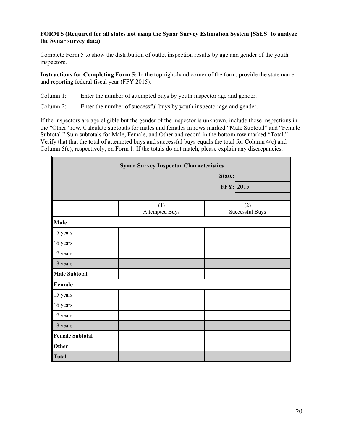#### **FORM 5 (Required for all states not using the Synar Survey Estimation System [SSES] to analyze the Synar survey data)**

Complete Form 5 to show the distribution of outlet inspection results by age and gender of the youth inspectors.

**Instructions for Completing Form 5:** In the top right-hand corner of the form, provide the state name and reporting federal fiscal year (FFY 2015).

Column 1: Enter the number of attempted buys by youth inspector age and gender.

Column 2: Enter the number of successful buys by youth inspector age and gender.

If the inspectors are age eligible but the gender of the inspector is unknown, include those inspections in the "Other" row. Calculate subtotals for males and females in rows marked "Male Subtotal" and "Female Subtotal." Sum subtotals for Male, Female, and Other and record in the bottom row marked "Total." Verify that that the total of attempted buys and successful buys equals the total for Column 4(c) and Column 5(c), respectively, on Form 1. If the totals do not match, please explain any discrepancies.

|                        | <b>Synar Survey Inspector Characteristics</b> |                        |
|------------------------|-----------------------------------------------|------------------------|
|                        |                                               | State:                 |
|                        |                                               | FFY: 2015              |
|                        |                                               |                        |
|                        | (1)<br><b>Attempted Buys</b>                  | (2)<br>Successful Buys |
| Male                   |                                               |                        |
| 15 years               |                                               |                        |
| 16 years               |                                               |                        |
| 17 years               |                                               |                        |
| 18 years               |                                               |                        |
| <b>Male Subtotal</b>   |                                               |                        |
| Female                 |                                               |                        |
| 15 years               |                                               |                        |
| 16 years               |                                               |                        |
| 17 years               |                                               |                        |
| 18 years               |                                               |                        |
| <b>Female Subtotal</b> |                                               |                        |
| Other                  |                                               |                        |
| <b>Total</b>           |                                               |                        |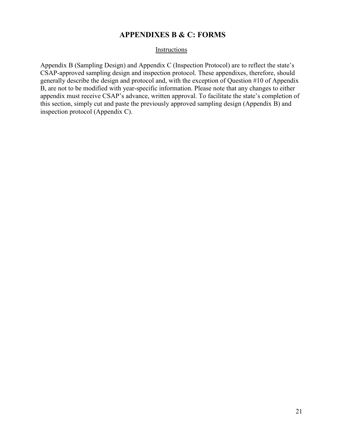### **APPENDIXES B & C: FORMS**

#### **Instructions**

Appendix B (Sampling Design) and Appendix C (Inspection Protocol) are to reflect the state's CSAP-approved sampling design and inspection protocol. These appendixes, therefore, should generally describe the design and protocol and, with the exception of Question #10 of Appendix B, are not to be modified with year-specific information. Please note that any changes to either appendix must receive CSAP's advance, written approval. To facilitate the state's completion of this section, simply cut and paste the previously approved sampling design (Appendix B) and inspection protocol (Appendix C).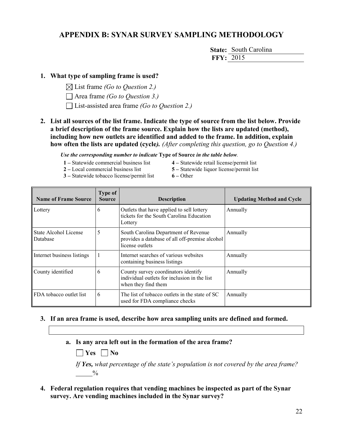### **APPENDIX B: SYNAR SURVEY SAMPLING METHODOLOGY**

**State:** South Carolina **FFY:** 2015

#### **1. What type of sampling frame is used?**

- List frame *(Go to Question 2.)*
- Area frame *(Go to Question 3.)*
- List-assisted area frame *(Go to Question 2.)*
- **2. List all sources of the list frame. Indicate the type of source from the list below. Provide a brief description of the frame source. Explain how the lists are updated (method), including how new outlets are identified and added to the frame. In addition, explain how often the lists are updated (cycle***). (After completing this question, go to Question 4.)*

*Use the corresponding number to indicate* **Type of Source** *in the table below.*

- **1 –** Statewide commercial business list **4 –** Statewide retail license/permit list
- 
- 
- **2 –** Local commercial business list **5 –** Statewide liquor license/permit list
- **3 –** Statewide tobacco license/permit list **6 –** Other
- 

| <b>Name of Frame Source</b>       | Type of<br><b>Source</b> | <b>Description</b>                                                                                         | <b>Updating Method and Cycle</b> |
|-----------------------------------|--------------------------|------------------------------------------------------------------------------------------------------------|----------------------------------|
| Lottery                           | 6                        | Outlets that have applied to sell lottery<br>tickets for the South Carolina Education<br>Lottery           | Annually                         |
| State Alcohol License<br>Database | 5                        | South Carolina Department of Revenue<br>provides a database of all off-premise alcohol<br>license outlets  | Annually                         |
| Internet business listings        |                          | Internet searches of various websites<br>containing business listings                                      | Annually                         |
| County identified                 | 6                        | County survey coordinators identify<br>individual outlets for inclusion in the list<br>when they find them | Annually                         |
| FDA tobacco outlet list           | 6                        | The list of tobacco outlets in the state of SC<br>used for FDA compliance checks                           | Annually                         |

#### **3. If an area frame is used***,* **describe how area sampling units are defined and formed.**

**a. Is any area left out in the formation of the area frame?**

 $\vert$  **Yes**  $\vert$  **No** 

*If Yes, what percentage of the state's population is not covered by the area frame?*  $\frac{0}{0}$ 

**4. Federal regulation requires that vending machines be inspected as part of the Synar survey. Are vending machines included in the Synar survey?**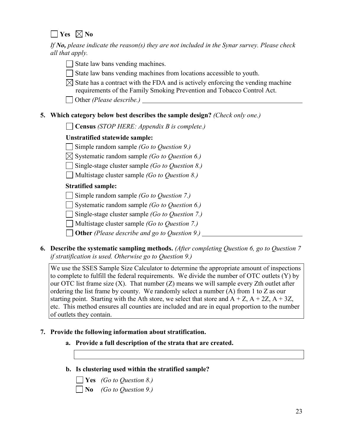$\Box$  Yes  $\boxtimes$  No

*If No, please indicate the reason(s) they are not included in the Synar survey. Please check all that apply.*

- State law bans vending machines.
- $\Box$  State law bans vending machines from locations accessible to youth.
- $\boxtimes$  State has a contract with the FDA and is actively enforcing the vending machine requirements of the Family Smoking Prevention and Tobacco Control Act.
- Other *(Please describe.)*

### **5. Which category below best describes the sample design?** *(Check only one.)*

**Census** *(STOP HERE: Appendix B is complete.)*

### **Unstratified statewide sample:**

Simple random sample *(Go to Question 9.)*

- Systematic random sample *(Go to Question 6.)*
- Single-stage cluster sample *(Go to Question 8.)*
- Multistage cluster sample *(Go to Question 8.)*

### **Stratified sample:**

Simple random sample *(Go to Question 7.)*

Systematic random sample *(Go to Question 6.)*

Single-stage cluster sample *(Go to Question 7.)*

Multistage cluster sample *(Go to Question 7.)*

**Other** *(Please describe and go to Question 9.)*

**6. Describe the systematic sampling methods.** *(After completing Question 6, go to Question 7 if stratification is used. Otherwise go to Question 9.)*

We use the SSES Sample Size Calculator to determine the appropriate amount of inspections to complete to fulfill the federal requirements. We divide the number of OTC outlets (Y) by our OTC list frame size  $(X)$ . That number  $(Z)$  means we will sample every Zth outlet after ordering the list frame by county. We randomly select a number (A) from 1 to Z as our starting point. Starting with the Ath store, we select that store and  $A + Z$ ,  $A + 2Z$ ,  $A + 3Z$ , etc. This method ensures all counties are included and are in equal proportion to the number of outlets they contain.

#### **7. Provide the following information about stratification.**

- **a. Provide a full description of the strata that are created.**
- **b. Is clustering used within the stratified sample?**

**Yes** *(Go to Question 8.)* **No** *(Go to Question 9.)*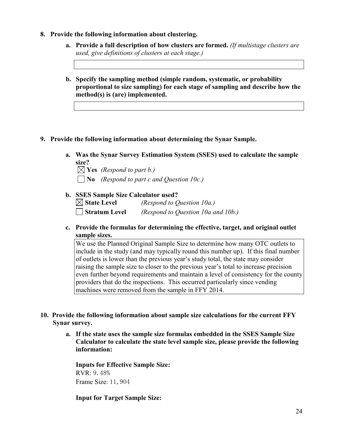- **8. Provide the following information about clustering.**
	- **a. Provide a full description of how clusters are formed.** *(If multistage clusters are used, give definitions of clusters at each stage.)*
	- **b. Specify the sampling method (simple random, systematic, or probability proportional to size sampling) for each stage of sampling and describe how the method(s) is (are) implemented.**
- **9. Provide the following information about determining the Synar Sample.**
	- **a. Was the Synar Survey Estimation System (SSES) used to calculate the sample size?**

 $\boxtimes$  **Yes** *(Respond to part b.)*  **No** *(Respond to part c and Question 10c.)*

**b. SSES Sample Size Calculator used?**

| $\boxtimes$ State Level | (Respond to Question 10a.)         |
|-------------------------|------------------------------------|
| Stratum Level           | (Respond to Question 10a and 10b.) |

**c. Provide the formulas for determining the effective, target, and original outlet sample sizes.**

We use the Planned Original Sample Size to determine how many OTC outlets to include in the study (and may typically round this number up). If this final number of outlets is lower than the previous year's study total, the state may consider raising the sample size to closer to the previous year's total to increase precision even further beyond requirements and maintain a level of consistency for the county providers that do the inspections. This occurred particularly since vending machines were removed from the sample in FFY 2014.

- **10. Provide the following information about sample size calculations for the current FFY Synar survey.**
	- **a. If the state uses the sample size formulas embedded in the SSES Sample Size Calculator to calculate the state level sample size, please provide the following information:**

**Inputs for Effective Sample Size:**  RVR: 9.48% Frame Size: 11,904

**Input for Target Sample Size:**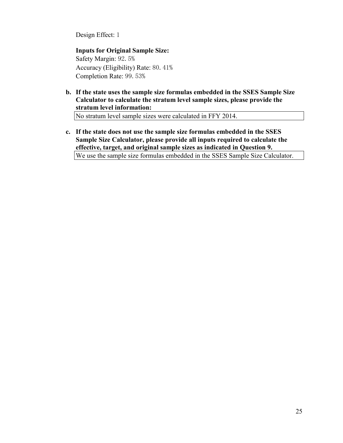Design Effect: 1

**Inputs for Original Sample Size:** Safety Margin: 92.5% Accuracy (Eligibility) Rate: 80.41% Completion Rate: 99.53%

**b. If the state uses the sample size formulas embedded in the SSES Sample Size Calculator to calculate the stratum level sample sizes, please provide the stratum level information:**

No stratum level sample sizes were calculated in FFY 2014.

**c. If the state does not use the sample size formulas embedded in the SSES Sample Size Calculator, please provide all inputs required to calculate the effective, target, and original sample sizes as indicated in Question 9.**

We use the sample size formulas embedded in the SSES Sample Size Calculator.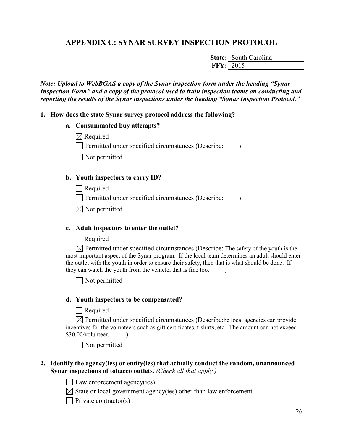### **APPENDIX C: SYNAR SURVEY INSPECTION PROTOCOL**

**State:** South Carolina **FFY:** 2015

*Note: Upload to WebBGAS a copy of the Synar inspection form under the heading "Synar Inspection Form" and a copy of the protocol used to train inspection teams on conducting and reporting the results of the Synar inspections under the heading "Synar Inspection Protocol."* 

#### **1. How does the state Synar survey protocol address the following?**

#### **a. Consummated buy attempts?**

 $\boxtimes$  Required

 $\Box$  Permitted under specified circumstances (Describe: )

Not permitted

#### **b. Youth inspectors to carry ID?**

 $\Box$  Required

 $\Box$  Permitted under specified circumstances (Describe: )

 $\boxtimes$  Not permitted

#### **c. Adult inspectors to enter the outlet?**

Required

 $\boxtimes$  Permitted under specified circumstances (Describe: The safety of the youth is the most important aspect of the Synar program. If the local team determines an adult should enter the outlet with the youth in order to ensure their safety, then that is what should be done. If they can watch the youth from the vehicle, that is fine too.

Not permitted

#### **d. Youth inspectors to be compensated?**

#### **□** Required

 $\boxtimes$  Permitted under specified circumstances (Describe: he local agencies can provide incentives for the volunteers such as gift certificates, t-shirts, etc. The amount can not exceed  $$30.00/vol$ unteer.

Not permitted

#### **2. Identify the agency(ies) or entity(ies) that actually conduct the random, unannounced Synar inspections of tobacco outlets.** *(Check all that apply.)*

 $\Box$  Law enforcement agency(ies)

 $\boxtimes$  State or local government agency(ies) other than law enforcement

 $\Box$  Private contractor(s)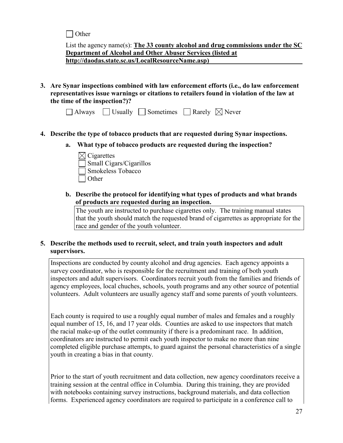$\Box$  Other

List the agency name(s): **The 33 county alcohol and drug commissions under the SC Department of Alcohol and Other Abuser Services (listed at http://daodas.state.sc.us/LocalResourceName.asp)**

**3. Are Synar inspections combined with law enforcement efforts (i.e., do law enforcement representatives issue warnings or citations to retailers found in violation of the law at the time of the inspection?)?**

|  |  | $\Box$ Always $\Box$ Usually $\Box$ Sometimes $\Box$ Rarely $\boxtimes$ Never |  |  |
|--|--|-------------------------------------------------------------------------------|--|--|
|--|--|-------------------------------------------------------------------------------|--|--|

- **4. Describe the type of tobacco products that are requested during Synar inspections.**
	- **a. What type of tobacco products are requested during the inspection?**
		- $\boxtimes$  Cigarettes Small Cigars/Cigarillos Smokeless Tobacco **Other**
	- **b. Describe the protocol for identifying what types of products and what brands of products are requested during an inspection.**

The youth are instructed to purchase cigarettes only. The training manual states that the youth should match the requested brand of cigarrettes as appropriate for the race and gender of the youth volunteer.

### **5. Describe the methods used to recruit, select, and train youth inspectors and adult supervisors.**

Inspections are conducted by county alcohol and drug agencies. Each agency appoints a survey coordinator, who is responsible for the recruitment and training of both youth inspectors and adult supervisors. Coordinators recruit youth from the families and friends of agency employees, local chuches, schools, youth programs and any other source of potential volunteers. Adult volunteers are usually agency staff and some parents of youth volunteers.

Each county is required to use a roughly equal number of males and females and a roughly equal number of 15, 16, and 17 year olds. Counties are asked to use inspectors that match the racial make-up of the outlet community if there is a predominant race. In addition, coordinators are instructed to permit each youth inspector to make no more than nine completed eligible purchase attempts, to guard against the personal characteristics of a single youth in creating a bias in that county.

Prior to the start of youth recruitment and data collection, new agency coordinators receive a training session at the central office in Columbia. During this training, they are provided with notebooks containing survey instructions, background materials, and data collection forms. Experienced agency coordinators are required to participate in a conference call to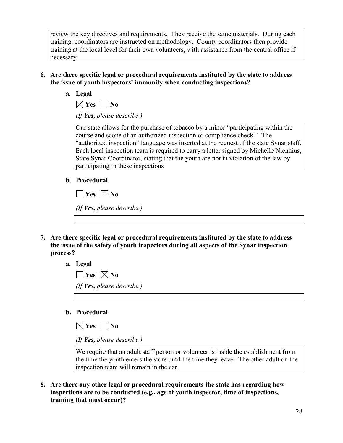review the key directives and requirements. They receive the same materials. During each training, coordinators are instructed on methodology. County coordinators then provide training at the local level for their own volunteers, with assistance from the central office if necessary.

- **6. Are there specific legal or procedural requirements instituted by the state to address the issue of youth inspectors' immunity when conducting inspections?**
	- **a. Legal**

 $\boxtimes$  Yes  $\Box$  No

*(If Yes, please describe.)*

Our state allows for the purchase of tobacco by a minor "participating within the course and scope of an authorized inspection or compliance check." The "authorized inspection" language was inserted at the request of the state Synar staff. Each local inspection team is required to carry a letter signed by Michelle Nienhius, State Synar Coordinator, stating that the youth are not in violation of the law by participating in these inspections

**b**. **Procedural**

 $\Box$  Yes  $\boxtimes$  No *(If Yes, please describe.)*

- **7. Are there specific legal or procedural requirements instituted by the state to address the issue of the safety of youth inspectors during all aspects of the Synar inspection process?**
	- **a. Legal**

 $\Box$  Yes  $\boxtimes$  No *(If Yes, please describe.)*

**b. Procedural**

 $\boxtimes$  Yes  $\Box$  No

*(If Yes, please describe.)*

We require that an adult staff person or volunteer is inside the establishment from the time the youth enters the store until the time they leave. The other adult on the inspection team will remain in the car.

**8. Are there any other legal or procedural requirements the state has regarding how inspections are to be conducted (e.g., age of youth inspector, time of inspections, training that must occur)?**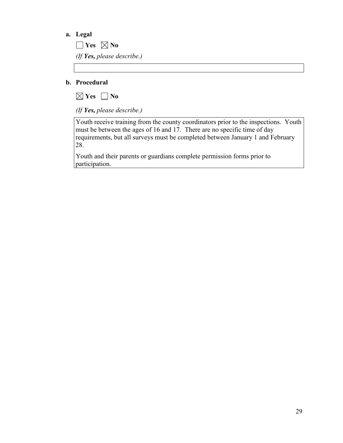#### **a. Legal**

 $\Box$  Yes  $\boxtimes$  No *(If Yes, please describe.)*

#### **b. Procedural**



*(If Yes, please describe.)*

Youth receive training from the county coordinators prior to the inspections. Youth must be between the ages of 16 and 17. There are no specific time of day requirements, but all surveys must be completed between January 1 and February 28.

Youth and their parents or guardians complete permission forms prior to participation.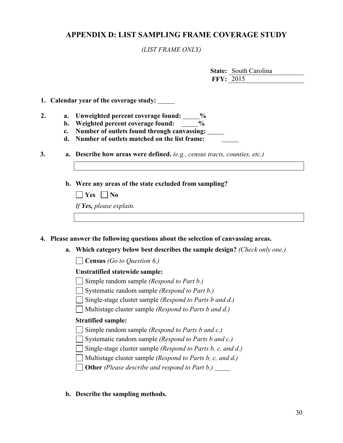### **APPENDIX D: LIST SAMPLING FRAME COVERAGE STUDY**

*(LIST FRAME ONLY)*

|                  | <b>State:</b> South Carolina |
|------------------|------------------------------|
| <b>FFY: 2015</b> |                              |

#### **1. Calendar year of the coverage study:**

- **2. a. Unweighted percent coverage found: %**
	- **b. Weighted percent coverage found: %**
	- **c. Number of outlets found through canvassing:**
	- **d. Number of outlets matched on the list frame:**
- **3. a. Describe how areas were defined.** *(e.g., census tracts, counties, etc.)*
	- **b. Were any areas of the state excluded from sampling?**

| $\Box$ Yes $\Box$ No    |
|-------------------------|
| If Yes, please explain. |

#### **4. Please answer the following questions about the selection of canvassing areas.**

**a. Which category below best describes the sample design?** *(Check only one.)*

**Census** *(Go to Question 6.)*

#### **Unstratified statewide sample:**

- Simple random sample *(Respond to Part b.)*
- Systematic random sample *(Respond to Part b.)*
- Single-stage cluster sample *(Respond to Parts b and d.)*
- Multistage cluster sample *(Respond to Parts b and d.)*

#### **Stratified sample:**

- Simple random sample *(Respond to Parts b and c.)*
- Systematic random sample *(Respond to Parts b and c.)*
- Single-stage cluster sample *(Respond to Parts b, c, and d.)*
- Multistage cluster sample *(Respond to Parts b, c, and d.)*
- **Other** *(Please describe and respond to Part b.)*
- **b. Describe the sampling methods.**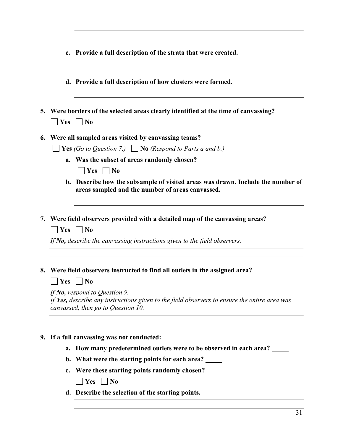| $\mathbf{c}$ . | Provide a full description of the strata that were created.                                                                                                         |
|----------------|---------------------------------------------------------------------------------------------------------------------------------------------------------------------|
|                | d. Provide a full description of how clusters were formed.                                                                                                          |
|                |                                                                                                                                                                     |
| Yes            | 5. Were borders of the selected areas clearly identified at the time of canvassing?<br>$\vert$   No                                                                 |
|                | Were all sampled areas visited by canvassing teams?                                                                                                                 |
|                | <b>Yes</b> (Go to Question 7.) <b>No</b> (Respond to Parts a and b.)                                                                                                |
| $a_{\cdot}$    | Was the subset of areas randomly chosen?                                                                                                                            |
|                | Yes<br>$\vert$   No                                                                                                                                                 |
|                | b. Describe how the subsample of visited areas was drawn. Include the number of<br>areas sampled and the number of areas canvassed.                                 |
|                |                                                                                                                                                                     |
| Yes            | 7. Were field observers provided with a detailed map of the canvassing areas?<br>$\overline{\phantom{a}}$ No                                                        |
|                | If No, describe the canvassing instructions given to the field observers.                                                                                           |
|                |                                                                                                                                                                     |
| Yes            | Were field observers instructed to find all outlets in the assigned area?<br>N <sub>0</sub>                                                                         |
|                | If No, respond to Question 9.<br>If Yes, describe any instructions given to the field observers to ensure the entire area was<br>canvassed, then go to Question 10. |
|                |                                                                                                                                                                     |
| $\mathbf{b}$ . | 9. If a full canvassing was not conducted:<br>a. How many predetermined outlets were to be observed in each area?<br>What were the starting points for each area?   |
|                |                                                                                                                                                                     |

**c. Were these starting points randomly chosen?** 

**Yes No**

 $\Gamma$ 

**d. Describe the selection of the starting points.**

┑